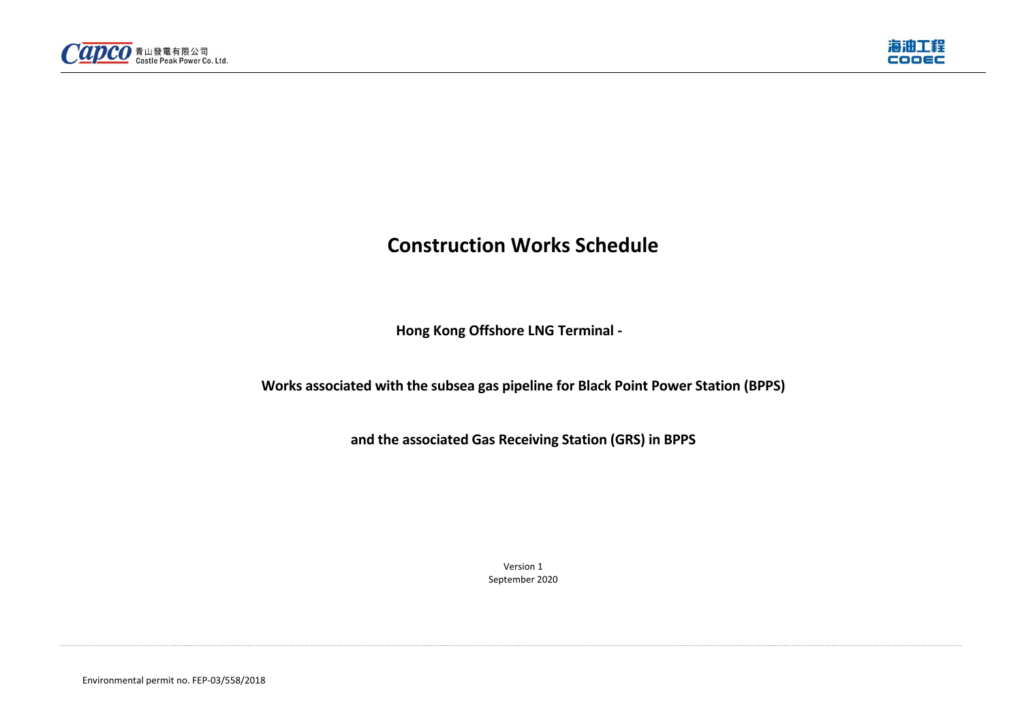Environmental permit no. FEP-03/558/2018





# **Construction Works Schedule**

**Hong Kong Offshore LNG Terminal -** 

**Works associated with the subsea gas pipeline for Black Point Power Station (BPPS)** 

**and the associated Gas Receiving Station (GRS) in BPPS** 

Version 1 September 2020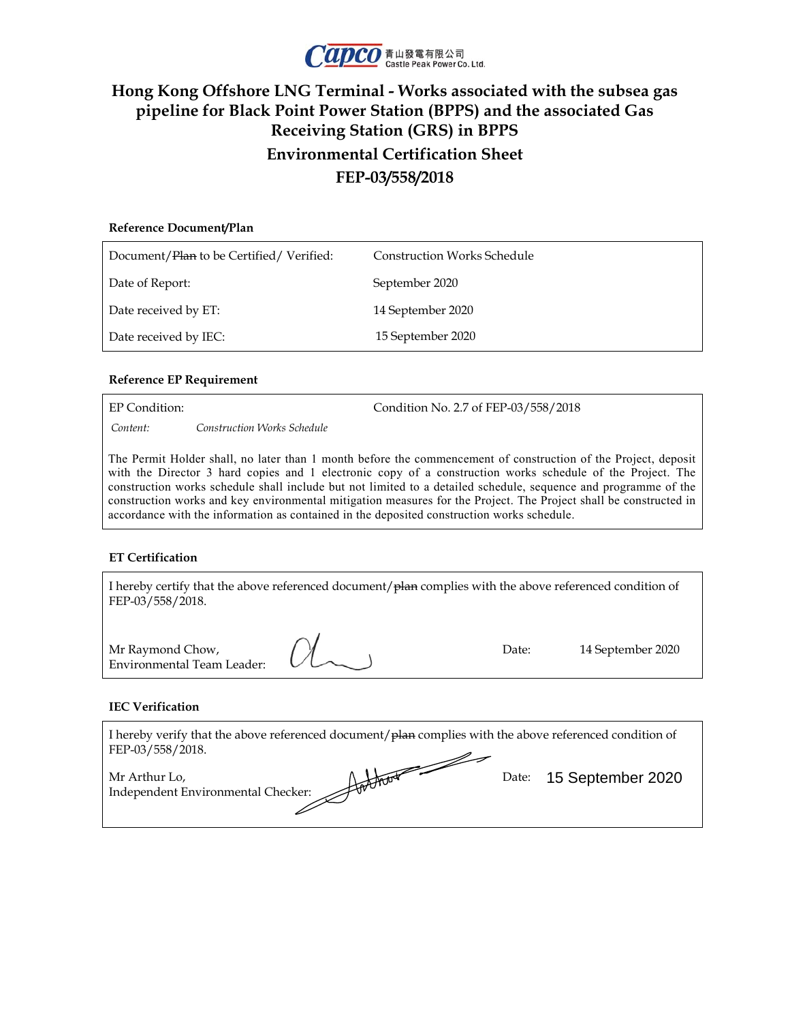

## **Hong Kong Offshore LNG Terminal - Works associated with the subsea gas pipeline for Black Point Power Station (BPPS) and the associated Gas Receiving Station (GRS) in BPPS Environmental Certification Sheet FEP-03/558/2018**

| Reference Document/Plan                 |                                    |
|-----------------------------------------|------------------------------------|
| Document/Plan to be Certified/Verified: | <b>Construction Works Schedule</b> |
| Date of Report:                         | September 2020                     |
| Date received by ET:                    | 14 September 2020                  |
| Date received by IEC:                   | 15 September 2020                  |

#### **Reference EP Requirement**

EP Condition: Condition No. 2.7 of FEP-03/558/2018 *Content: Construction Works Schedule* 

The Permit Holder shall, no later than 1 month before the commencement of construction of the Project, deposit with the Director 3 hard copies and 1 electronic copy of a construction works schedule of the Project. The construction works schedule shall include but not limited to a detailed schedule, sequence and programme of the construction works and key environmental mitigation measures for the Project. The Project shall be constructed in accordance with the information as contained in the deposited construction works schedule.

#### **ET Certification**

| I hereby certify that the above referenced document/ $\frac{1}{P}$ m complies with the above referenced condition of<br>FEP-03/558/2018. |       |                   |
|------------------------------------------------------------------------------------------------------------------------------------------|-------|-------------------|
| Mr Raymond Chow,<br><b>Environmental Team Leader:</b>                                                                                    | Date: | 14 September 2020 |

#### **IEC Verification**

| I hereby verify that the above referenced document/plan complies with the above referenced condition of<br>FEP-03/558/2018. |                         |
|-----------------------------------------------------------------------------------------------------------------------------|-------------------------|
| Mr Arthur Lo,<br>Hotten<br>Independent Environmental Checker:                                                               | Date: 15 September 2020 |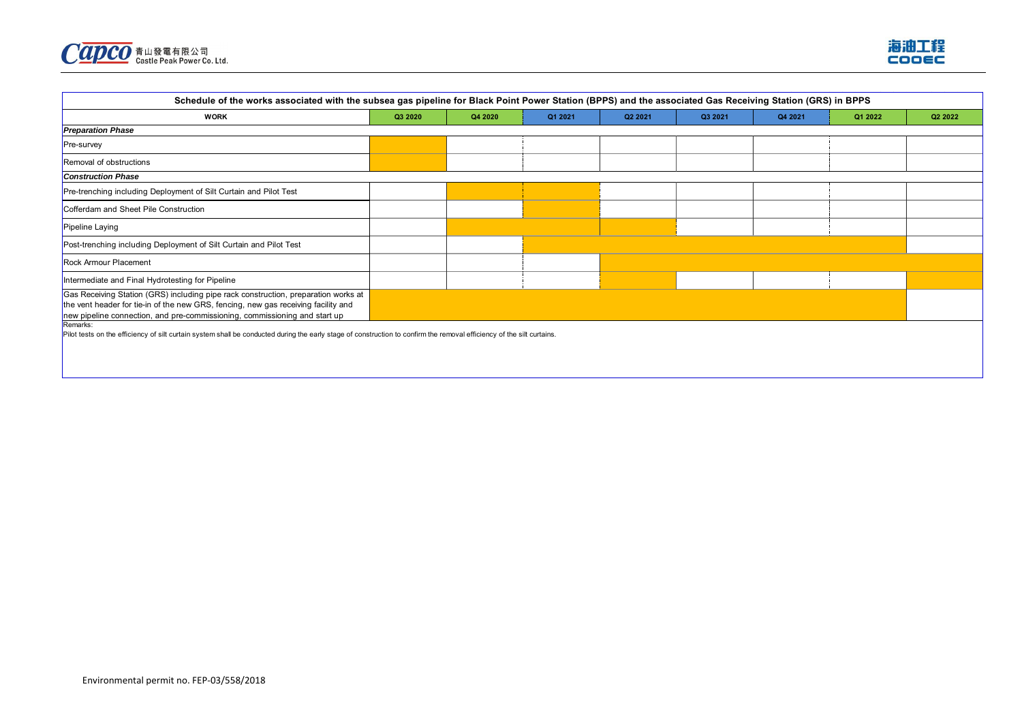



| Schedule of the works associated with the subsea gas pipeline for Black Point Power Station (BPPS) and the associated Gas Receiving Station (GRS) in BPPS                                                                                              |         |         |         |         |         |         |         |         |
|--------------------------------------------------------------------------------------------------------------------------------------------------------------------------------------------------------------------------------------------------------|---------|---------|---------|---------|---------|---------|---------|---------|
| <b>WORK</b>                                                                                                                                                                                                                                            | Q3 2020 | Q4 2020 | Q1 2021 | Q2 2021 | Q3 2021 | Q4 2021 | Q1 2022 | Q2 2022 |
| <b>Preparation Phase</b>                                                                                                                                                                                                                               |         |         |         |         |         |         |         |         |
| Pre-survey                                                                                                                                                                                                                                             |         |         |         |         |         |         |         |         |
| Removal of obstructions                                                                                                                                                                                                                                |         |         |         |         |         |         |         |         |
| <b>Construction Phase</b>                                                                                                                                                                                                                              |         |         |         |         |         |         |         |         |
| Pre-trenching including Deployment of Silt Curtain and Pilot Test                                                                                                                                                                                      |         |         |         |         |         |         |         |         |
| Cofferdam and Sheet Pile Construction                                                                                                                                                                                                                  |         |         |         |         |         |         |         |         |
| Pipeline Laying                                                                                                                                                                                                                                        |         |         |         |         |         |         |         |         |
| Post-trenching including Deployment of Silt Curtain and Pilot Test                                                                                                                                                                                     |         |         |         |         |         |         |         |         |
| Rock Armour Placement                                                                                                                                                                                                                                  |         |         |         |         |         |         |         |         |
| Intermediate and Final Hydrotesting for Pipeline                                                                                                                                                                                                       |         |         |         |         |         |         |         |         |
| Gas Receiving Station (GRS) including pipe rack construction, preparation works at<br>the vent header for tie-in of the new GRS, fencing, new gas receiving facility and<br>new pipeline connection, and pre-commissioning, commissioning and start up |         |         |         |         |         |         |         |         |
| Remarks:<br>Pilot tests on the efficiency of silt curtain system shall be conducted during the early stage of construction to confirm the removal efficiency of the silt curtains.                                                                     |         |         |         |         |         |         |         |         |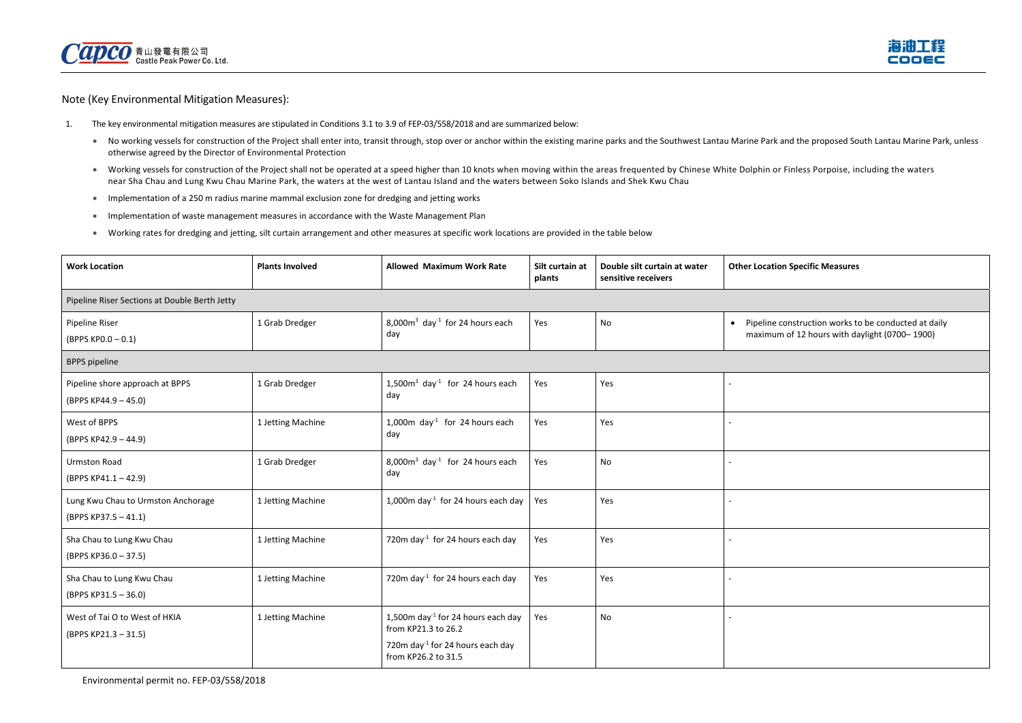

Note (Key Environmental Mitigation Measures):

- 1. The key environmental mitigation measures are stipulated in Conditions 3.1 to 3.9 of FEP-03/558/2018 and are summarized below:
	- No working vessels for construction of the Project shall enter into, transit through, stop over or anchor within the existing marine parks and the Southwest Lantau Marine Park and the proposed South Lantau Marine Park, otherwise agreed by the Director of Environmental Protection
	- Working vessels for construction of the Project shall not be operated at a speed higher than 10 knots when moving within the areas frequented by Chinese White Dolphin or Finless Porpoise, including the waters near Sha Chau and Lung Kwu Chau Marine Park, the waters at the west of Lantau Island and the waters between Soko Islands and Shek Kwu Chau
	- Implementation of a 250 m radius marine mammal exclusion zone for dredging and jetting works
	- **IMPLEM** Implementation of waste management measures in accordance with the Waste Management Plan
	- Working rates for dredging and jetting, silt curtain arrangement and other measures at specific work locations are provided in the table below

**Other Location Specific Measures** 

ne construction works to be conducted at daily num of 12 hours with daylight (0700– 1900)

| <b>Work Location</b>                                       | <b>Plants Involved</b> | <b>Allowed Maximum Work Rate</b>                                      | Silt curtain at<br>plants | Double silt curtain at water<br>sensitive receivers | <b>Other Loca</b>             |
|------------------------------------------------------------|------------------------|-----------------------------------------------------------------------|---------------------------|-----------------------------------------------------|-------------------------------|
| Pipeline Riser Sections at Double Berth Jetty              |                        |                                                                       |                           |                                                     |                               |
| Pipeline Riser<br>(BPPS KP0.0-0.1)                         | 1 Grab Dredger         | $8,000m3$ day <sup>-1</sup> for 24 hours each<br>day                  | Yes                       | No                                                  | Pipelin<br>$\bullet$<br>maxim |
| <b>BPPS</b> pipeline                                       |                        |                                                                       |                           |                                                     |                               |
| Pipeline shore approach at BPPS<br>(BPPS KP44.9 - 45.0)    | 1 Grab Dredger         | 1,500 $m3$ day <sup>-1</sup> for 24 hours each<br>day                 | Yes                       | Yes                                                 |                               |
| West of BPPS<br>(BPPS KP42.9 - 44.9)                       | 1 Jetting Machine      | 1,000m day <sup>-1</sup> for 24 hours each<br>day                     | Yes                       | Yes                                                 |                               |
| <b>Urmston Road</b><br>(BPPS KP41.1-42.9)                  | 1 Grab Dredger         | 8,000 $m3$ day <sup>-1</sup> for 24 hours each<br>day                 | Yes                       | No                                                  |                               |
| Lung Kwu Chau to Urmston Anchorage<br>(BPPS KP37.5 - 41.1) | 1 Jetting Machine      | 1,000m day <sup>-1</sup> for 24 hours each day                        | Yes                       | Yes                                                 |                               |
| Sha Chau to Lung Kwu Chau<br>(BPPS KP36.0 - 37.5)          | 1 Jetting Machine      | 720m day <sup>-1</sup> for 24 hours each day                          | Yes                       | Yes                                                 |                               |
| Sha Chau to Lung Kwu Chau<br>(BPPS KP31.5 - 36.0)          | 1 Jetting Machine      | 720m day <sup>-1</sup> for 24 hours each day                          | Yes                       | Yes                                                 |                               |
| West of Tai O to West of HKIA<br>(BPPS KP21.3 - 31.5)      | 1 Jetting Machine      | 1,500m day <sup>-1</sup> for 24 hours each day<br>from KP21.3 to 26.2 | Yes                       | No.                                                 |                               |
|                                                            |                        | 720m day <sup>-1</sup> for 24 hours each day<br>from KP26.2 to 31.5   |                           |                                                     |                               |